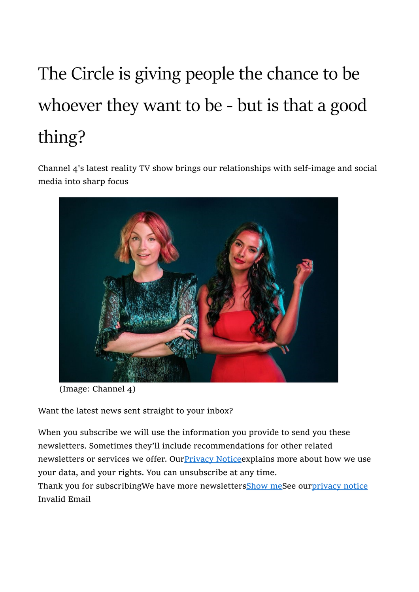## The Circle is giving people the chance to be whoever they want to be - but is that a good thing?

Channel 4's latest reality TV show brings our relationships with self-image and social media into sharp focus



(Image: Channel 4)

Want the latest news sent straight to your inbox?

When you subscribe we will use the information you provide to send you these newsletters. Sometimes they'll include recommendations for other related newsletters or services we offer. Our **Privacy Notice** explains more about how we use your data, and your rights. You can unsubscribe at any time. Thank you for subscribingWe have more newslettersShow meSee ourprivacy notice

Invalid Email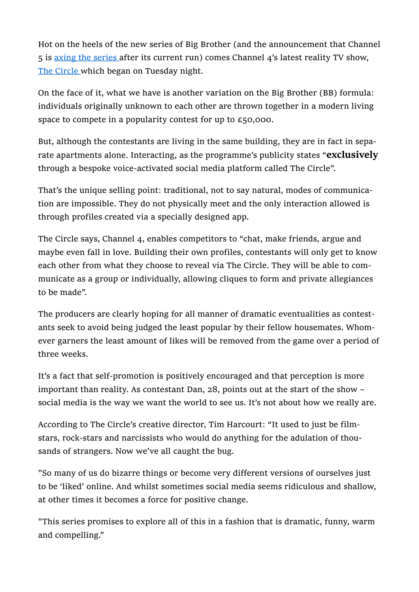Hot on the heels of the new series of Big Brother (and the announcement that Channel 5 is axing the series after its current run) comes Channel 4's latest reality TV show, The Circle which began on Tuesday night.

On the face of it, what we have is another variation on the Big Brother (BB) formula: individuals originally unknown to each other are thrown together in a modern living space to compete in a popularity contest for up to £50,000.

But, although the contestants are living in the same building, they are in fact in separate apartments alone. Interacting, as the programme's publicity states "exclusively through a bespoke voice-activated social media platform called The Circle".

That's the unique selling point: traditional, not to say natural, modes of communication are impossible. They do not physically meet and the only interaction allowed is through profiles created via a specially designed app.

The Circle says, Channel 4, enables competitors to "chat, make friends, argue and maybe even fall in love. Building their own profiles, contestants will only get to know each other from what they choose to reveal via The Circle. They will be able to communicate as a group or individually, allowing cliques to form and private allegiances to be made".

The producers are clearly hoping for all manner of dramatic eventualities as contestants seek to avoid being judged the least popular by their fellow housemates. Whomever garners the least amount of likes will be removed from the game over a period of three weeks.

It's a fact that self-promotion is positively encouraged and that perception is more important than reality. As contestant Dan, 28, points out at the start of the show – social media is the way we want the world to see us. It's not about how we really are.

According to The Circle's creative director, Tim Harcourt: "It used to just be filmstars, rock-stars and narcissists who would do anything for the adulation of thousands of strangers. Now we've all caught the bug.

"So many of us do bizarre things or become very different versions of ourselves just to be 'liked' online. And whilst sometimes social media seems ridiculous and shallow, at other times it becomes a force for positive change.

"This series promises to explore all of this in a fashion that is dramatic, funny, warm and compelling."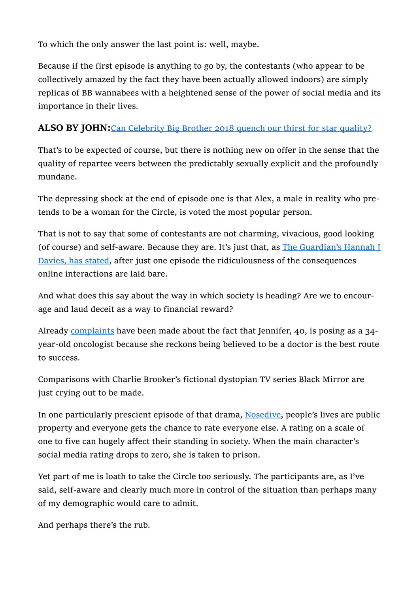To which the only answer the last point is: well, maybe.

Because if the first episode is anything to go by, the contestants (who appear to be collectively amazed by the fact they have been actually allowed indoors) are simply replicas of BB wannabees with a heightened sense of the power of social media and its importance in their lives.

## ALSO BY JOHN: Can Celebrity Big Brother 2018 quench our thirst for star quality?

That's to be expected of course, but there is nothing new on offer in the sense that the quality of repartee veers between the predictably sexually explicit and the profoundly mundane.

The depressing shock at the end of episode one is that Alex, a male in reality who pretends to be a woman for the Circle, is voted the most popular person.

That is not to say that some of contestants are not charming, vivacious, good looking (of course) and self-aware. Because they are. It's just that, as The Guardian's Hannah I Davies, has stated, after just one episode the ridiculousness of the consequences online interactions are laid bare.

And what does this say about the way in which society is heading? Are we to encourage and laud deceit as a way to financial reward?

Already complaints have been made about the fact that Jennifer, 40, is posing as a 34year-old oncologist because she reckons being believed to be a doctor is the best route to success.

Comparisons with Charlie Brooker's fictional dystopian TV series Black Mirror are just crying out to be made.

In one particularly prescient episode of that drama, Nosedive, people's lives are public property and everyone gets the chance to rate everyone else. A rating on a scale of one to five can hugely affect their standing in society. When the main character's social media rating drops to zero, she is taken to prison.

Yet part of me is loath to take the Circle too seriously. The participants are, as I've said, self-aware and clearly much more in control of the situation than perhaps many of my demographic would care to admit.

And perhaps there's the rub.